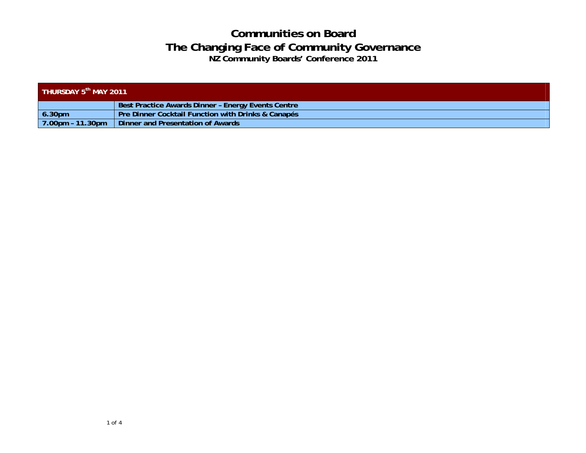| THURSDAY 5 <sup>th</sup> MAY 2011 |                                                    |  |  |
|-----------------------------------|----------------------------------------------------|--|--|
|                                   | Best Practice Awards Dinner - Energy Events Centre |  |  |
| 6.30pm                            | Pre Dinner Cocktail Function with Drinks & Canapés |  |  |
| 7.00pm - 11.30pm                  | Dinner and Presentation of Awards                  |  |  |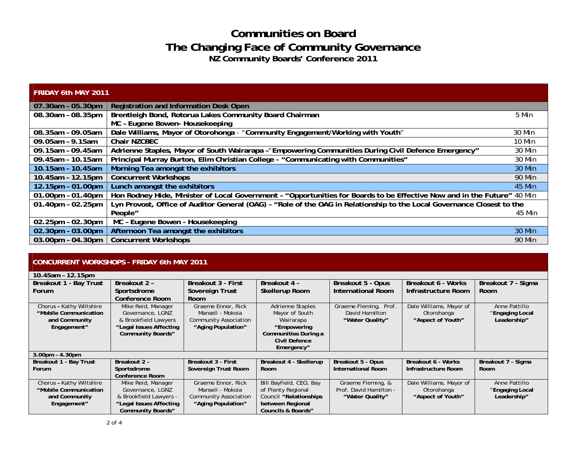| <b>FRIDAY 6th MAY 2011</b> |                                                                                                                         |               |
|----------------------------|-------------------------------------------------------------------------------------------------------------------------|---------------|
| 07.30am - 05.30pm          | Registration and Information Desk Open                                                                                  |               |
| 08.30am - 08.35pm          | Brentleigh Bond, Rotorua Lakes Community Board Chairman                                                                 | 5 Min         |
|                            | MC - Eugene Bowen- Housekeeping                                                                                         |               |
| 08.35am - 09.05am          | Dale Williams, Mayor of Otorohonga - "Community Engagement/Working with Youth"                                          | 30 Min        |
| 09.05am - 9.15am           | Chair NZCBEC                                                                                                            | 10 Min        |
| 09.15am - 09.45am          | Adrienne Staples, Mayor of South Wairarapa - "Empowering Communities During Civil Defence Emergency"                    | 30 Min        |
| 09.45am - 10.15am          | Principal Murray Burton, Elim Christian College - "Communicating with Communities"                                      | 30 Min        |
| 10.15am - 10.45am          | Morning Tea amongst the exhibitors                                                                                      | 30 Min        |
| 10.45am - 12.15pm          | <b>Concurrent Workshops</b>                                                                                             | <b>90 Min</b> |
| 12.15pm - 01.00pm          | Lunch amongst the exhibitors                                                                                            | 45 Min        |
| $01.00$ pm - 01.40pm       | Hon Rodney Hide, Minister of Local Government - "Opportunities for Boards to be Effective Now and in the Future" 40 Min |               |
| $01.40$ pm - $02.25$ pm    | Lyn Provost, Office of Auditor General (OAG) - "Role of the OAG in Relationship to the Local Governance Closest to the  |               |
|                            | People"                                                                                                                 | 45 Min        |
| $02.25$ pm - $02.30$ pm    | MC - Eugene Bowen - Housekeeping                                                                                        |               |
| 02.30pm - 03.00pm          | Afternoon Tea amongst the exhibitors                                                                                    | 30 Min        |
| $03.00pm - 04.30pm$        | <b>Concurrent Workshops</b>                                                                                             | 90 Min        |

#### **CONCURRENT WORKSHOPS - FRIDAY 6th MAY 2011**

| 10.45am - 12.15pm        |                          |                              |                               |                           |                         |                    |
|--------------------------|--------------------------|------------------------------|-------------------------------|---------------------------|-------------------------|--------------------|
| Breakout 1 - Bay Trust   | Breakout 2 -             | <b>Breakout 3 - First</b>    | Breakout 4 -                  | Breakout 5 - Opus         | Breakout 6 - Works      | Breakout 7 - Sigma |
| Forum                    | Sportsdrome              | Sovereign Trust              | <b>Skellerup Room</b>         | <b>International Room</b> | Infrastructure Room     | <b>Room</b>        |
|                          | <b>Conference Room</b>   | <b>Room</b>                  |                               |                           |                         |                    |
| Chorus - Kathy Wiltshire | Mike Reid, Manager       | Graeme Ennor, Rick           | <b>Adrienne Staples</b>       | Graeme Fleming, Prof.     | Dale Williams, Mayor of | Anne Pattillo      |
| "Mobile Communication    | Governance, LGNZ         | Mansell - Mokoja             | Mayor of South                | David Hamilton            | Otorohanga              | "Engaging Local    |
| and Community            | & Brookfield Lawyers     | <b>Community Association</b> | Wairarapa                     | "Water Quality"           | "Aspect of Youth"       | Leadership"        |
| Engagement"              | "Legal Issues Affecting  | "Aging Population"           | "Empowering                   |                           |                         |                    |
|                          | <b>Community Boards"</b> |                              | Communities During a          |                           |                         |                    |
|                          |                          |                              | <b>Civil Defence</b>          |                           |                         |                    |
|                          |                          |                              | Emergency"                    |                           |                         |                    |
| $3.00$ pm - $4.30$ pm    |                          |                              |                               |                           |                         |                    |
| Breakout 1 - Bay Trust   | Breakout 2 -             | <b>Breakout 3 - First</b>    | Breakout 4 - Skellerup        | Breakout 5 - Opus         | Breakout 6 - Works      | Breakout 7 - Sigma |
| <b>Forum</b>             | Sportsdrome              | Sovereign Trust Room         | Room                          | <b>International Room</b> | Infrastructure Room     | Room               |
|                          | <b>Conference Room</b>   |                              |                               |                           |                         |                    |
| Chorus - Kathy Wiltshire | Mike Reid, Manager       | Graeme Ennor, Rick           | Bill Bayfield, CEO, Bay       | Graeme Fleming, &         | Dale Williams, Mayor of | Anne Pattillo      |
| "Mobile Communication    | Governance, LGNZ         | Mansell - Mokoja             | of Plenty Regional            | Prof. David Hamilton -    | Otorohanga              | "Engaging Local    |
| and Community            | & Brookfield Lawyers -   | <b>Community Association</b> | Council "Relationships        | "Water Quality"           | "Aspect of Youth"       | Leadership"        |
| Engagement"              | "Legal Issues Affecting  | "Aging Population"           | between Regional              |                           |                         |                    |
|                          | <b>Community Boards"</b> |                              | <b>Councils &amp; Boards"</b> |                           |                         |                    |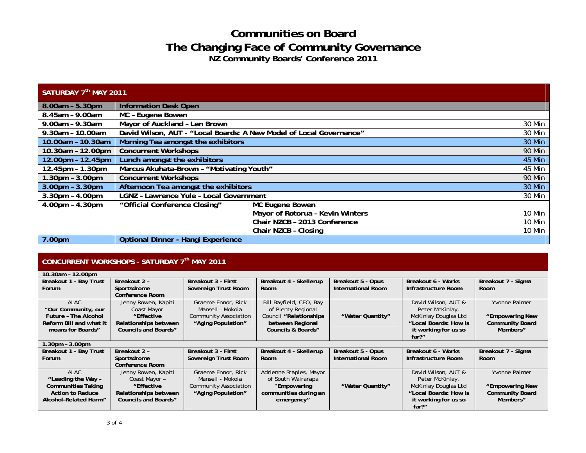| SATURDAY 7 <sup>th</sup> MAY 2011 |                                                                               |                                  |        |  |
|-----------------------------------|-------------------------------------------------------------------------------|----------------------------------|--------|--|
| $8.00am - 5.30pm$                 | <b>Information Desk Open</b>                                                  |                                  |        |  |
| 8.45am - 9.00am                   | MC - Eugene Bowen                                                             |                                  |        |  |
| 9.00am - 9.30am                   | Mayor of Auckland - Len Brown<br>30 Min                                       |                                  |        |  |
| 9.30am - 10.00am                  | David Wilson, AUT - "Local Boards: A New Model of Local Governance"<br>30 Min |                                  |        |  |
| 10.00am - 10.30am                 | Morning Tea amongst the exhibitors<br><b>30 Min</b>                           |                                  |        |  |
| 10.30am - 12.00pm                 | <b>Concurrent Workshops</b><br><b>90 Min</b>                                  |                                  |        |  |
| 12.00pm - 12.45pm                 | Lunch amongst the exhibitors<br>45 Min                                        |                                  |        |  |
| 12.45pm - 1.30pm                  | Marcus Akuhata-Brown - "Motivating Youth"<br>$\overline{45}$ Min              |                                  |        |  |
| $1.30pm - 3.00pm$                 | <b>Concurrent Workshops</b><br><b>90 Min</b>                                  |                                  |        |  |
| $3.00pm - 3.30pm$                 | Afternoon Tea amongst the exhibitors<br>30 Min                                |                                  |        |  |
| $3.30$ pm - $4.00$ pm             | <b>LGNZ</b> - Lawrence Yule - Local Government                                |                                  | 30 Min |  |
| $4.00pm - 4.30pm$                 | "Official Conference Closing"                                                 | MC Eugene Bowen                  |        |  |
|                                   |                                                                               | Mayor of Rotorua - Kevin Winters | 10 Min |  |
|                                   |                                                                               | Chair NZCB - 2013 Conference     | 10 Min |  |
|                                   |                                                                               | Chair NZCB - Closing             | 10 Min |  |
| 7.00pm                            | <b>Optional Dinner - Hangi Experience</b>                                     |                                  |        |  |

#### **CONCURRENT WORKSHOPS - SATURDAY 7th MAY 2011**

| 10.30am - 12.00pm           |                             |                              |                               |                           |                       |                        |
|-----------------------------|-----------------------------|------------------------------|-------------------------------|---------------------------|-----------------------|------------------------|
| Breakout 1 - Bay Trust      | Breakout 2 -                | Breakout 3 - First           | Breakout 4 - Skellerup        | Breakout 5 - Opus         | Breakout 6 - Works    | Breakout 7 - Sigma     |
| <b>Forum</b>                | Sportsdrome                 | Sovereign Trust Room         | Room                          | <b>International Room</b> | Infrastructure Room   | <b>Room</b>            |
|                             | Conference Room             |                              |                               |                           |                       |                        |
| <b>ALAC</b>                 | Jenny Rowen, Kapiti         | Graeme Ennor, Rick           | Bill Bayfield, CEO, Bay       |                           | David Wilson, AUT &   | Yvonne Palmer          |
| "Our Community, our         | Coast Mayor                 | Mansell - Mokoja             | of Plenty Regional            |                           | Peter McKinlay,       |                        |
| <b>Future - The Alcohol</b> | "Effective                  | <b>Community Association</b> | Council "Relationships        | "Water Quantity"          | McKinlay Douglas Ltd  | "Empowering New        |
| Reform Bill and what it     | Relationships between       | "Aging Population"           | between Regional              |                           | "Local Boards: How is | <b>Community Board</b> |
| means for Boards"           | <b>Councils and Boards"</b> |                              | <b>Councils &amp; Boards"</b> |                           | it working for us so  | Members"               |
|                             |                             |                              |                               |                           | $far?$ "              |                        |
| $.30pm - 3.00pm$            |                             |                              |                               |                           |                       |                        |
| Breakout 1 - Bay Trust      | Breakout 2 -                | <b>Breakout 3 - First</b>    | Breakout 4 - Skellerup        | Breakout 5 - Opus         | Breakout 6 - Works    | Breakout 7 - Sigma     |
| <b>Forum</b>                | Sportsdrome                 | Sovereign Trust Room         | Room                          | <b>International Room</b> | Infrastructure Room   | Room                   |
|                             | <b>Conference Room</b>      |                              |                               |                           |                       |                        |
| ALAC                        | Jenny Rowen, Kapiti         | Graeme Ennor, Rick           | Adrienne Staples, Mayor       |                           | David Wilson, AUT &   | Yvonne Palmer          |
| "Leading the Way -          | Coast Mayor -               | Mansell - Mokoja             | of South Wairarapa            |                           | Peter McKinlay,       |                        |
| <b>Communities Taking</b>   | "Effective                  | <b>Community Association</b> | "Empowering                   | "Water Quantity"          | McKinlay Douglas Ltd  | "Empowering New        |
| <b>Action to Reduce</b>     | Relationships between       | "Aging Population"           | communities during an         |                           | "Local Boards: How is | <b>Community Board</b> |
| Alcohol-Related Harm"       | <b>Councils and Boards"</b> |                              | emergency"                    |                           | it working for us so  | Members"               |
|                             |                             |                              |                               |                           | far?"                 |                        |